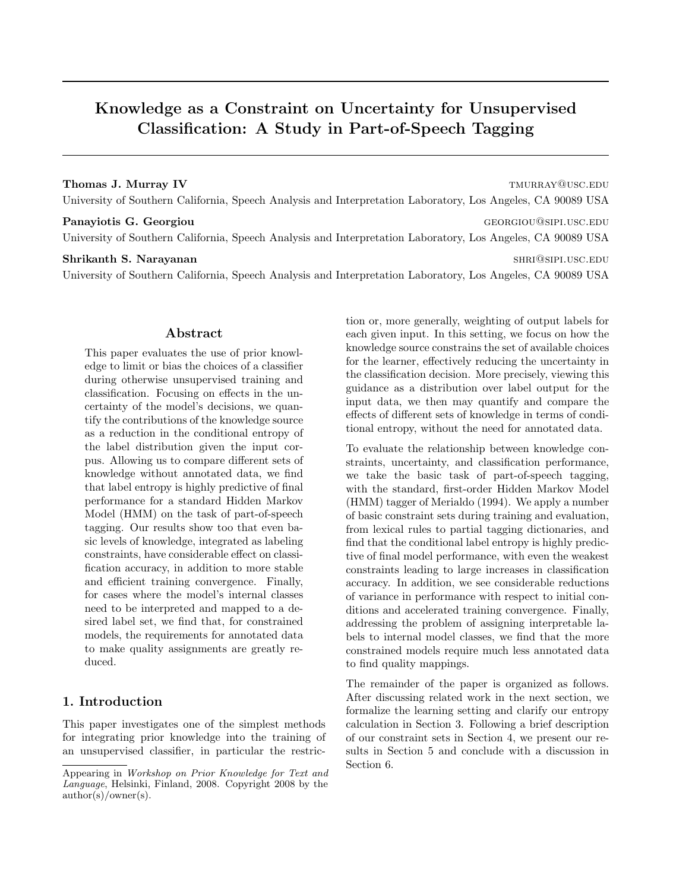# Knowledge as a Constraint on Uncertainty for Unsupervised Classification: A Study in Part-of-Speech Tagging

### Thomas J. Murray IV the settlement of the settlement of the settlement of the settlement of the settlement of the settlement of the settlement of the settlement of the settlement of the settlement of the settlement of the

University of Southern California, Speech Analysis and Interpretation Laboratory, Los Angeles, CA 90089 USA

Panayiotis G. Georgiou and the contract of the contract of the contract of the contract of the contract of the contract of the contract of the contract of the contract of the contract of the contract of the contract of the University of Southern California, Speech Analysis and Interpretation Laboratory, Los Angeles, CA 90089 USA

#### Shrikanth S. Narayanan shriftari shrimaga shrimaga shrimaga shrimaga shrimaga shrimaga shrimaga shrimaga shrimaga shrimaga shrimaga shrimaga shrimaga shrimaga shrimaga shrimaga shrimaga shrimaga shrimaga shrimaga shrimaga

University of Southern California, Speech Analysis and Interpretation Laboratory, Los Angeles, CA 90089 USA

## Abstract

This paper evaluates the use of prior knowledge to limit or bias the choices of a classifier during otherwise unsupervised training and classification. Focusing on effects in the uncertainty of the model's decisions, we quantify the contributions of the knowledge source as a reduction in the conditional entropy of the label distribution given the input corpus. Allowing us to compare different sets of knowledge without annotated data, we find that label entropy is highly predictive of final performance for a standard Hidden Markov Model (HMM) on the task of part-of-speech tagging. Our results show too that even basic levels of knowledge, integrated as labeling constraints, have considerable effect on classification accuracy, in addition to more stable and efficient training convergence. Finally, for cases where the model's internal classes need to be interpreted and mapped to a desired label set, we find that, for constrained models, the requirements for annotated data to make quality assignments are greatly reduced.

## 1. Introduction

This paper investigates one of the simplest methods for integrating prior knowledge into the training of an unsupervised classifier, in particular the restriction or, more generally, weighting of output labels for each given input. In this setting, we focus on how the knowledge source constrains the set of available choices for the learner, effectively reducing the uncertainty in the classification decision. More precisely, viewing this guidance as a distribution over label output for the input data, we then may quantify and compare the effects of different sets of knowledge in terms of conditional entropy, without the need for annotated data.

To evaluate the relationship between knowledge constraints, uncertainty, and classification performance, we take the basic task of part-of-speech tagging, with the standard, first-order Hidden Markov Model (HMM) tagger of Merialdo (1994). We apply a number of basic constraint sets during training and evaluation, from lexical rules to partial tagging dictionaries, and find that the conditional label entropy is highly predictive of final model performance, with even the weakest constraints leading to large increases in classification accuracy. In addition, we see considerable reductions of variance in performance with respect to initial conditions and accelerated training convergence. Finally, addressing the problem of assigning interpretable labels to internal model classes, we find that the more constrained models require much less annotated data to find quality mappings.

The remainder of the paper is organized as follows. After discussing related work in the next section, we formalize the learning setting and clarify our entropy calculation in Section 3. Following a brief description of our constraint sets in Section 4, we present our results in Section 5 and conclude with a discussion in Section 6.

Appearing in Workshop on Prior Knowledge for Text and Language, Helsinki, Finland, 2008. Copyright 2008 by the author(s)/owner(s).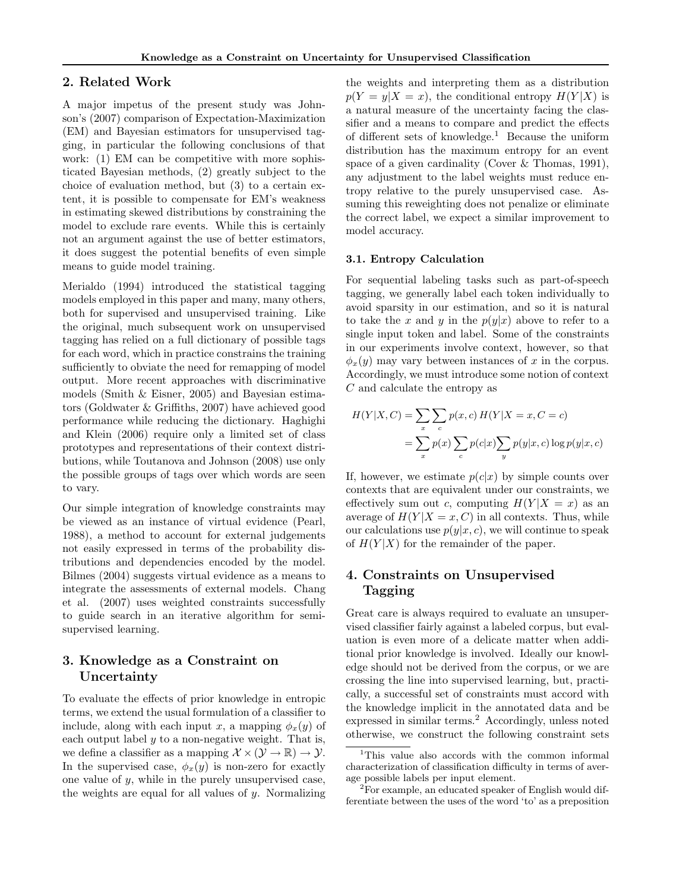## 2. Related Work

A major impetus of the present study was Johnson's (2007) comparison of Expectation-Maximization (EM) and Bayesian estimators for unsupervised tagging, in particular the following conclusions of that work: (1) EM can be competitive with more sophisticated Bayesian methods, (2) greatly subject to the choice of evaluation method, but (3) to a certain extent, it is possible to compensate for EM's weakness in estimating skewed distributions by constraining the model to exclude rare events. While this is certainly not an argument against the use of better estimators, it does suggest the potential benefits of even simple means to guide model training.

Merialdo (1994) introduced the statistical tagging models employed in this paper and many, many others, both for supervised and unsupervised training. Like the original, much subsequent work on unsupervised tagging has relied on a full dictionary of possible tags for each word, which in practice constrains the training sufficiently to obviate the need for remapping of model output. More recent approaches with discriminative models (Smith & Eisner, 2005) and Bayesian estimators (Goldwater & Griffiths, 2007) have achieved good performance while reducing the dictionary. Haghighi and Klein (2006) require only a limited set of class prototypes and representations of their context distributions, while Toutanova and Johnson (2008) use only the possible groups of tags over which words are seen to vary.

Our simple integration of knowledge constraints may be viewed as an instance of virtual evidence (Pearl, 1988), a method to account for external judgements not easily expressed in terms of the probability distributions and dependencies encoded by the model. Bilmes (2004) suggests virtual evidence as a means to integrate the assessments of external models. Chang et al. (2007) uses weighted constraints successfully to guide search in an iterative algorithm for semisupervised learning.

## 3. Knowledge as a Constraint on Uncertainty

To evaluate the effects of prior knowledge in entropic terms, we extend the usual formulation of a classifier to include, along with each input x, a mapping  $\phi_x(y)$  of each output label  $y$  to a non-negative weight. That is, we define a classifier as a mapping  $\mathcal{X} \times (\mathcal{Y} \to \mathbb{R}) \to \mathcal{Y}$ . In the supervised case,  $\phi_x(y)$  is non-zero for exactly one value of  $y$ , while in the purely unsupervised case, the weights are equal for all values of  $y$ . Normalizing the weights and interpreting them as a distribution  $p(Y = y | X = x)$ , the conditional entropy  $H(Y | X)$  is a natural measure of the uncertainty facing the classifier and a means to compare and predict the effects of different sets of knowledge.<sup>1</sup> Because the uniform distribution has the maximum entropy for an event space of a given cardinality (Cover & Thomas, 1991), any adjustment to the label weights must reduce entropy relative to the purely unsupervised case. Assuming this reweighting does not penalize or eliminate the correct label, we expect a similar improvement to model accuracy.

#### 3.1. Entropy Calculation

For sequential labeling tasks such as part-of-speech tagging, we generally label each token individually to avoid sparsity in our estimation, and so it is natural to take the x and y in the  $p(y|x)$  above to refer to a single input token and label. Some of the constraints in our experiments involve context, however, so that  $\phi_x(y)$  may vary between instances of x in the corpus. Accordingly, we must introduce some notion of context C and calculate the entropy as

$$
H(Y|X,C) = \sum_{x} \sum_{c} p(x,c) H(Y|X=x,C=c)
$$
  
= 
$$
\sum_{x} p(x) \sum_{c} p(c|x) \sum_{y} p(y|x,c) \log p(y|x,c)
$$

If, however, we estimate  $p(c|x)$  by simple counts over contexts that are equivalent under our constraints, we effectively sum out c, computing  $H(Y|X=x)$  as an average of  $H(Y|X=x, C)$  in all contexts. Thus, while our calculations use  $p(y|x, c)$ , we will continue to speak of  $H(Y|X)$  for the remainder of the paper.

## 4. Constraints on Unsupervised Tagging

Great care is always required to evaluate an unsupervised classifier fairly against a labeled corpus, but evaluation is even more of a delicate matter when additional prior knowledge is involved. Ideally our knowledge should not be derived from the corpus, or we are crossing the line into supervised learning, but, practically, a successful set of constraints must accord with the knowledge implicit in the annotated data and be expressed in similar terms.<sup>2</sup> Accordingly, unless noted otherwise, we construct the following constraint sets

<sup>&</sup>lt;sup>1</sup>This value also accords with the common informal characterization of classification difficulty in terms of average possible labels per input element.

<sup>&</sup>lt;sup>2</sup>For example, an educated speaker of English would differentiate between the uses of the word 'to' as a preposition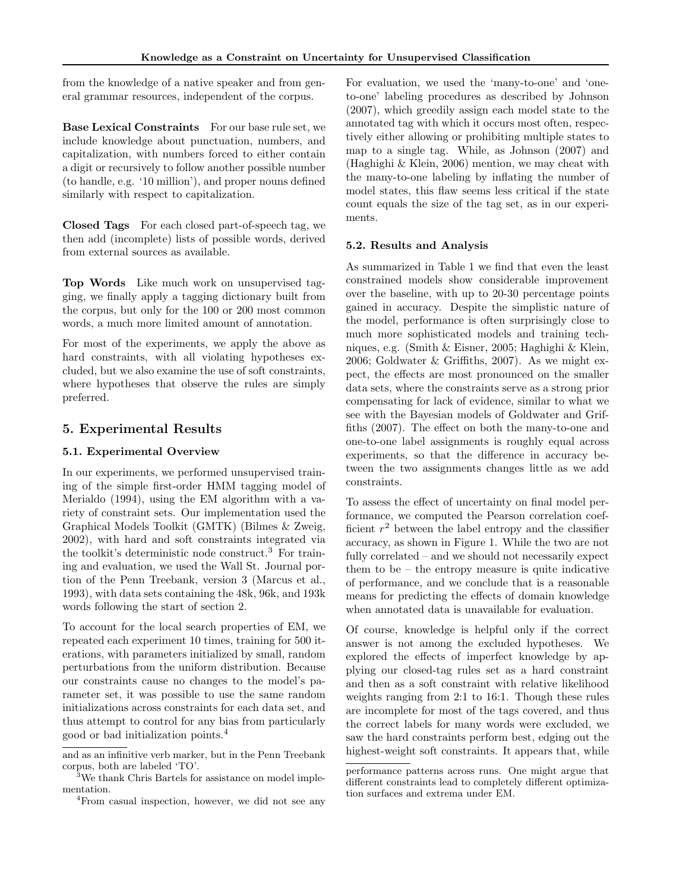from the knowledge of a native speaker and from general grammar resources, independent of the corpus.

Base Lexical Constraints For our base rule set, we include knowledge about punctuation, numbers, and capitalization, with numbers forced to either contain a digit or recursively to follow another possible number (to handle, e.g. '10 million'), and proper nouns defined similarly with respect to capitalization.

Closed Tags For each closed part-of-speech tag, we then add (incomplete) lists of possible words, derived from external sources as available.

Top Words Like much work on unsupervised tagging, we finally apply a tagging dictionary built from the corpus, but only for the 100 or 200 most common words, a much more limited amount of annotation.

For most of the experiments, we apply the above as hard constraints, with all violating hypotheses excluded, but we also examine the use of soft constraints, where hypotheses that observe the rules are simply preferred.

## 5. Experimental Results

## 5.1. Experimental Overview

In our experiments, we performed unsupervised training of the simple first-order HMM tagging model of Merialdo (1994), using the EM algorithm with a variety of constraint sets. Our implementation used the Graphical Models Toolkit (GMTK) (Bilmes & Zweig, 2002), with hard and soft constraints integrated via the toolkit's deterministic node construct.<sup>3</sup> For training and evaluation, we used the Wall St. Journal portion of the Penn Treebank, version 3 (Marcus et al., 1993), with data sets containing the 48k, 96k, and 193k words following the start of section 2.

To account for the local search properties of EM, we repeated each experiment 10 times, training for 500 iterations, with parameters initialized by small, random perturbations from the uniform distribution. Because our constraints cause no changes to the model's parameter set, it was possible to use the same random initializations across constraints for each data set, and thus attempt to control for any bias from particularly good or bad initialization points.<sup>4</sup>

For evaluation, we used the 'many-to-one' and 'oneto-one' labeling procedures as described by Johnson (2007), which greedily assign each model state to the annotated tag with which it occurs most often, respectively either allowing or prohibiting multiple states to map to a single tag. While, as Johnson (2007) and (Haghighi & Klein, 2006) mention, we may cheat with the many-to-one labeling by inflating the number of model states, this flaw seems less critical if the state count equals the size of the tag set, as in our experiments.

#### 5.2. Results and Analysis

As summarized in Table 1 we find that even the least constrained models show considerable improvement over the baseline, with up to 20-30 percentage points gained in accuracy. Despite the simplistic nature of the model, performance is often surprisingly close to much more sophisticated models and training techniques, e.g. (Smith & Eisner, 2005; Haghighi & Klein, 2006; Goldwater & Griffiths, 2007). As we might expect, the effects are most pronounced on the smaller data sets, where the constraints serve as a strong prior compensating for lack of evidence, similar to what we see with the Bayesian models of Goldwater and Griffiths (2007). The effect on both the many-to-one and one-to-one label assignments is roughly equal across experiments, so that the difference in accuracy between the two assignments changes little as we add constraints.

To assess the effect of uncertainty on final model performance, we computed the Pearson correlation coefficient  $r^2$  between the label entropy and the classifier accuracy, as shown in Figure 1. While the two are not fully correlated – and we should not necessarily expect them to be – the entropy measure is quite indicative of performance, and we conclude that is a reasonable means for predicting the effects of domain knowledge when annotated data is unavailable for evaluation.

Of course, knowledge is helpful only if the correct answer is not among the excluded hypotheses. We explored the effects of imperfect knowledge by applying our closed-tag rules set as a hard constraint and then as a soft constraint with relative likelihood weights ranging from 2:1 to 16:1. Though these rules are incomplete for most of the tags covered, and thus the correct labels for many words were excluded, we saw the hard constraints perform best, edging out the highest-weight soft constraints. It appears that, while

and as an infinitive verb marker, but in the Penn Treebank corpus, both are labeled 'TO'.

<sup>&</sup>lt;sup>3</sup>We thank Chris Bartels for assistance on model implementation.

<sup>4</sup>From casual inspection, however, we did not see any

performance patterns across runs. One might argue that different constraints lead to completely different optimization surfaces and extrema under EM.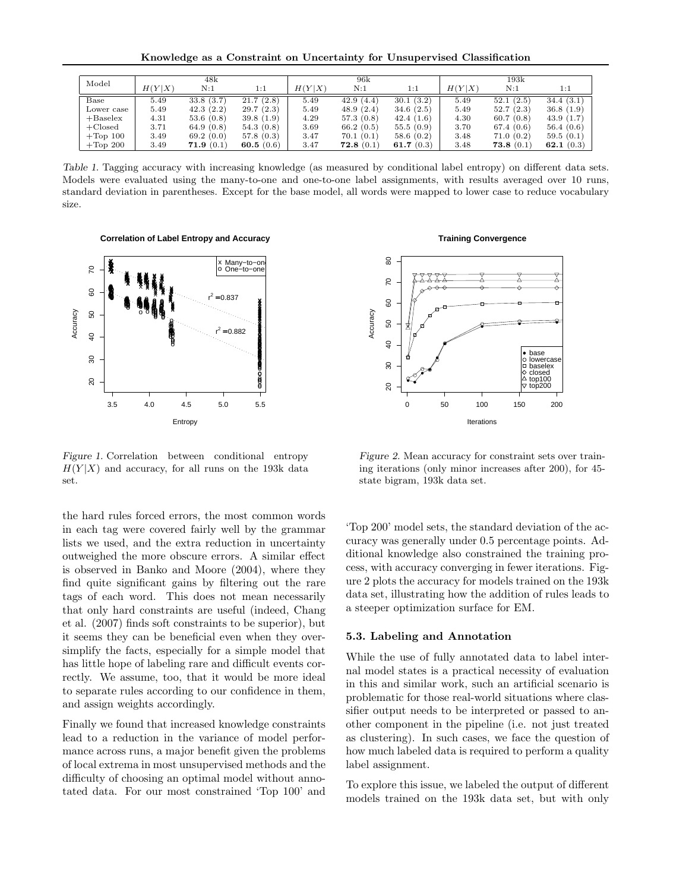Knowledge as a Constraint on Uncertainty for Unsupervised Classification

| Model       | 48k    |            |              | 96k    |           |              | 193k   |           |              |
|-------------|--------|------------|--------------|--------|-----------|--------------|--------|-----------|--------------|
|             | H(Y X) | N:1        | 1:1          | H(Y X) | N:1       | 1:1          | H(Y X) | N:1       | 1:1          |
| Base        | 5.49   | 33.8(3.7)  | 21.7(2.8)    | 5.49   | 42.9(4.4) | 30.1(3.2)    | 5.49   | 52.1(2.5) | 34.4(3.1)    |
| Lower case  | 5.49   | 42.3(2.2)  | 29.7(2.3)    | 5.49   | 48.9(2.4) | 34.6(2.5)    | 5.49   | 52.7(2.3) | 36.8(1.9)    |
| $+Baselex$  | 4.31   | 53.6(0.8)  | 39.8(1.9)    | 4.29   | 57.3(0.8) | 42.4(1.6)    | 4.30   | 60.7(0.8) | 43.9(1.7)    |
| $+Closed$   | 3.71   | 64.9 (0.8) | 54.3(0.8)    | 3.69   | 66.2(0.5) | 55.5(0.9)    | 3.70   | 67.4(0.6) | 56.4(0.6)    |
| $+$ Top 100 | 3.49   | 69.2(0.0)  | 57.8(0.3)    | 3.47   | 70.1(0.1) | 58.6(0.2)    | 3.48   | 71.0(0.2) | 59.5(0.1)    |
| $+$ Top 200 | 3.49   | 71.9(0.1)  | 60.5 $(0.6)$ | 3.47   | 72.8(0.1) | 61.7 $(0.3)$ | 3.48   | 73.8(0.1) | 62.1 $(0.3)$ |

Table 1. Tagging accuracy with increasing knowledge (as measured by conditional label entropy) on different data sets. Models were evaluated using the many-to-one and one-to-one label assignments, with results averaged over 10 runs, standard deviation in parentheses. Except for the base model, all words were mapped to lower case to reduce vocabulary size.

**Correlation of Label Entropy and Accuracy**



Figure 1. Correlation between conditional entropy  $H(Y|X)$  and accuracy, for all runs on the 193k data set.

the hard rules forced errors, the most common words in each tag were covered fairly well by the grammar lists we used, and the extra reduction in uncertainty outweighed the more obscure errors. A similar effect is observed in Banko and Moore (2004), where they find quite significant gains by filtering out the rare tags of each word. This does not mean necessarily that only hard constraints are useful (indeed, Chang et al. (2007) finds soft constraints to be superior), but it seems they can be beneficial even when they oversimplify the facts, especially for a simple model that has little hope of labeling rare and difficult events correctly. We assume, too, that it would be more ideal to separate rules according to our confidence in them, and assign weights accordingly.

Finally we found that increased knowledge constraints lead to a reduction in the variance of model performance across runs, a major benefit given the problems of local extrema in most unsupervised methods and the difficulty of choosing an optimal model without annotated data. For our most constrained 'Top 100' and

#### **Training Convergence**



Figure 2. Mean accuracy for constraint sets over training iterations (only minor increases after 200), for 45 state bigram, 193k data set.

'Top 200' model sets, the standard deviation of the accuracy was generally under 0.5 percentage points. Additional knowledge also constrained the training process, with accuracy converging in fewer iterations. Figure 2 plots the accuracy for models trained on the 193k data set, illustrating how the addition of rules leads to a steeper optimization surface for EM.

### 5.3. Labeling and Annotation

While the use of fully annotated data to label internal model states is a practical necessity of evaluation in this and similar work, such an artificial scenario is problematic for those real-world situations where classifier output needs to be interpreted or passed to another component in the pipeline (i.e. not just treated as clustering). In such cases, we face the question of how much labeled data is required to perform a quality label assignment.

To explore this issue, we labeled the output of different models trained on the 193k data set, but with only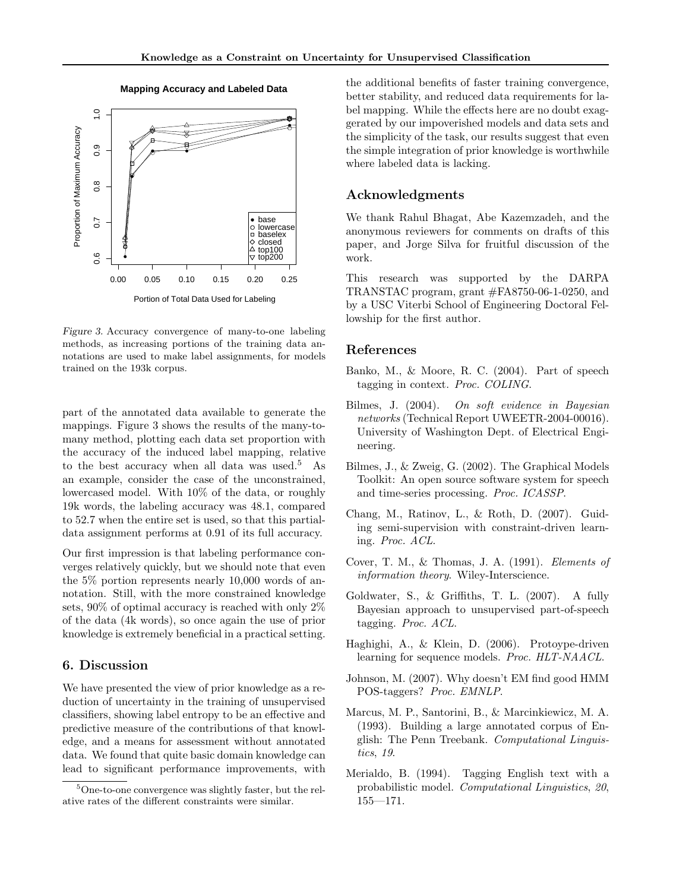

#### **Mapping Accuracy and Labeled Data**

Figure 3. Accuracy convergence of many-to-one labeling methods, as increasing portions of the training data annotations are used to make label assignments, for models trained on the 193k corpus.

part of the annotated data available to generate the mappings. Figure 3 shows the results of the many-tomany method, plotting each data set proportion with the accuracy of the induced label mapping, relative to the best accuracy when all data was used.<sup>5</sup> As an example, consider the case of the unconstrained, lowercased model. With 10% of the data, or roughly 19k words, the labeling accuracy was 48.1, compared to 52.7 when the entire set is used, so that this partialdata assignment performs at 0.91 of its full accuracy.

Our first impression is that labeling performance converges relatively quickly, but we should note that even the 5% portion represents nearly 10,000 words of annotation. Still, with the more constrained knowledge sets, 90% of optimal accuracy is reached with only 2% of the data (4k words), so once again the use of prior knowledge is extremely beneficial in a practical setting.

## 6. Discussion

We have presented the view of prior knowledge as a reduction of uncertainty in the training of unsupervised classifiers, showing label entropy to be an effective and predictive measure of the contributions of that knowledge, and a means for assessment without annotated data. We found that quite basic domain knowledge can lead to significant performance improvements, with

the additional benefits of faster training convergence, better stability, and reduced data requirements for label mapping. While the effects here are no doubt exaggerated by our impoverished models and data sets and the simplicity of the task, our results suggest that even the simple integration of prior knowledge is worthwhile where labeled data is lacking.

## Acknowledgments

We thank Rahul Bhagat, Abe Kazemzadeh, and the anonymous reviewers for comments on drafts of this paper, and Jorge Silva for fruitful discussion of the work.

This research was supported by the DARPA TRANSTAC program, grant #FA8750-06-1-0250, and by a USC Viterbi School of Engineering Doctoral Fellowship for the first author.

### References

- Banko, M., & Moore, R. C. (2004). Part of speech tagging in context. Proc. COLING.
- Bilmes, J. (2004). On soft evidence in Bayesian networks (Technical Report UWEETR-2004-00016). University of Washington Dept. of Electrical Engineering.
- Bilmes, J., & Zweig, G. (2002). The Graphical Models Toolkit: An open source software system for speech and time-series processing. Proc. ICASSP.
- Chang, M., Ratinov, L., & Roth, D. (2007). Guiding semi-supervision with constraint-driven learning. Proc. ACL.
- Cover, T. M., & Thomas, J. A. (1991). Elements of information theory. Wiley-Interscience.
- Goldwater, S., & Griffiths, T. L. (2007). A fully Bayesian approach to unsupervised part-of-speech tagging. Proc. ACL.
- Haghighi, A., & Klein, D. (2006). Protoype-driven learning for sequence models. Proc. HLT-NAACL.
- Johnson, M. (2007). Why doesn't EM find good HMM POS-taggers? Proc. EMNLP.
- Marcus, M. P., Santorini, B., & Marcinkiewicz, M. A. (1993). Building a large annotated corpus of English: The Penn Treebank. Computational Linguistics, 19.
- Merialdo, B. (1994). Tagging English text with a probabilistic model. Computational Linguistics, 20, 155—171.

<sup>5</sup>One-to-one convergence was slightly faster, but the relative rates of the different constraints were similar.